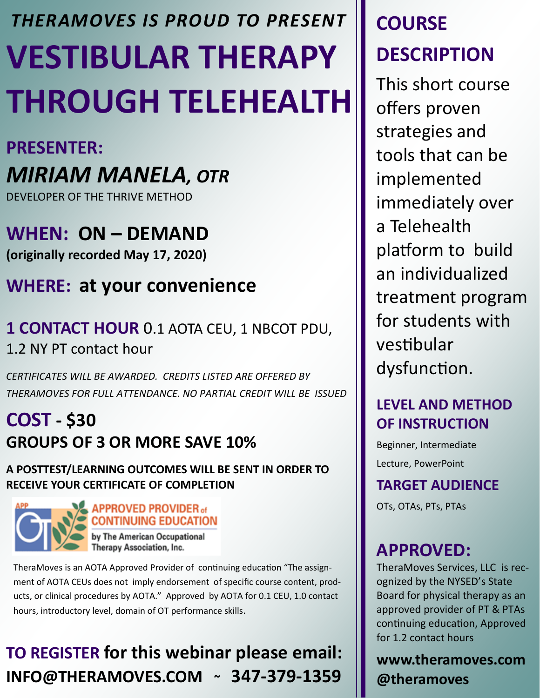# **VESTIBULAR THERAPY THROUGH TELEHEALTH** *THERAMOVES IS PROUD TO PRESENT*

### **PRESENTER:**

# *MIRIAM MANELA, OTR*

DEVELOPER OF THE THRIVE METHOD

**WHEN: ON – DEMAND (originally recorded May 17, 2020)**

## **WHERE: at your convenience**

## **1 CONTACT HOUR** 0.1 AOTA CEU, 1 NBCOT PDU, 1.2 NY PT contact hour

*CERTIFICATES WILL BE AWARDED. CREDITS LISTED ARE OFFERED BY THERAMOVES FOR FULL ATTENDANCE. NO PARTIAL CREDIT WILL BE ISSUED* 

## **COST - \$30 GROUPS OF 3 OR MORE SAVE 10%**

#### **A POSTTEST/LEARNING OUTCOMES WILL BE SENT IN ORDER TO RECEIVE YOUR CERTIFICATE OF COMPLETION**



#### **APPROVED PROVIDER of CONTINUING EDUCATION**

by The American Occupational Therapy Association, Inc.

TheraMoves is an AOTA Approved Provider of continuing education "The assignment of AOTA CEUs does not imply endorsement of specific course content, products, or clinical procedures by AOTA." Approved by AOTA for 0.1 CEU, 1.0 contact hours, introductory level, domain of OT performance skills.

# **TO REGISTER for this webinar please email: INFO@THERAMOVES.COM ~ 347-379-1359**

# **COURSE DESCRIPTION**

This short course offers proven strategies and tools that can be implemented immediately over a Telehealth platform to build an individualized treatment program for students with vestibular dysfunction.

## **LEVEL AND METHOD OF INSTRUCTION**

Beginner, Intermediate Lecture, PowerPoint

#### **TARGET AUDIENCE**

OTs, OTAs, PTs, PTAs

## **APPROVED:**

TheraMoves Services, LLC is recognized by the NYSED's State Board for physical therapy as an approved provider of PT & PTAs continuing education, Approved for 1.2 contact hours

#### **www.theramoves.com @theramoves**